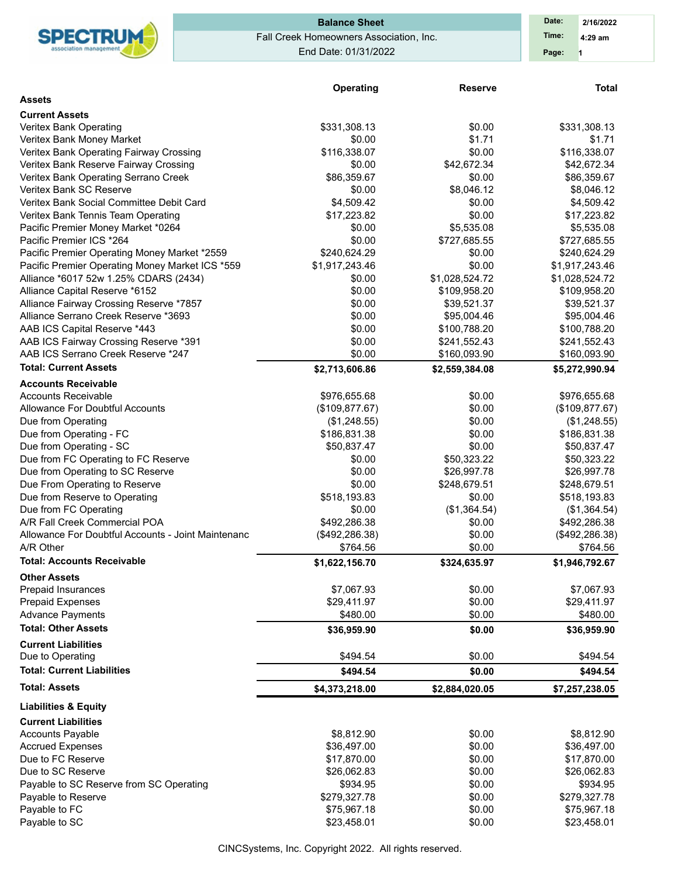

## Fall Creek Homeowners Association, Inc. End Date: 01/31/2022 **Balance Sheet Date: Date: Date:**

|                                                    | Operating       | <b>Reserve</b> | <b>Total</b>    |
|----------------------------------------------------|-----------------|----------------|-----------------|
| <b>Assets</b>                                      |                 |                |                 |
| <b>Current Assets</b>                              |                 |                |                 |
| Veritex Bank Operating                             | \$331,308.13    | \$0.00         | \$331,308.13    |
| Veritex Bank Money Market                          | \$0.00          | \$1.71         | \$1.71          |
| Veritex Bank Operating Fairway Crossing            | \$116,338.07    | \$0.00         | \$116,338.07    |
| Veritex Bank Reserve Fairway Crossing              | \$0.00          | \$42,672.34    | \$42,672.34     |
| Veritex Bank Operating Serrano Creek               | \$86,359.67     | \$0.00         | \$86,359.67     |
| Veritex Bank SC Reserve                            | \$0.00          | \$8,046.12     | \$8,046.12      |
| Veritex Bank Social Committee Debit Card           | \$4,509.42      | \$0.00         | \$4,509.42      |
| Veritex Bank Tennis Team Operating                 | \$17,223.82     | \$0.00         | \$17,223.82     |
| Pacific Premier Money Market *0264                 | \$0.00          | \$5,535.08     | \$5,535.08      |
| Pacific Premier ICS *264                           | \$0.00          | \$727,685.55   | \$727,685.55    |
| Pacific Premier Operating Money Market *2559       | \$240,624.29    | \$0.00         | \$240,624.29    |
| Pacific Premier Operating Money Market ICS *559    | \$1,917,243.46  | \$0.00         | \$1,917,243.46  |
| Alliance *6017 52w 1.25% CDARS (2434)              | \$0.00          | \$1,028,524.72 | \$1,028,524.72  |
| Alliance Capital Reserve *6152                     | \$0.00          | \$109,958.20   | \$109,958.20    |
| Alliance Fairway Crossing Reserve *7857            | \$0.00          | \$39,521.37    | \$39,521.37     |
| Alliance Serrano Creek Reserve *3693               | \$0.00          | \$95,004.46    | \$95,004.46     |
| AAB ICS Capital Reserve *443                       | \$0.00          | \$100,788.20   | \$100,788.20    |
| AAB ICS Fairway Crossing Reserve *391              | \$0.00          | \$241,552.43   | \$241,552.43    |
| AAB ICS Serrano Creek Reserve *247                 | \$0.00          | \$160,093.90   | \$160,093.90    |
| <b>Total: Current Assets</b>                       | \$2,713,606.86  | \$2,559,384.08 | \$5,272,990.94  |
| <b>Accounts Receivable</b>                         |                 |                |                 |
| <b>Accounts Receivable</b>                         | \$976,655.68    | \$0.00         | \$976,655.68    |
| <b>Allowance For Doubtful Accounts</b>             | (\$109, 877.67) | \$0.00         | (\$109,877.67)  |
| Due from Operating                                 | (\$1,248.55)    | \$0.00         | (\$1,248.55)    |
| Due from Operating - FC                            | \$186,831.38    | \$0.00         | \$186,831.38    |
| Due from Operating - SC                            | \$50,837.47     | \$0.00         | \$50,837.47     |
| Due from FC Operating to FC Reserve                | \$0.00          | \$50,323.22    | \$50,323.22     |
| Due from Operating to SC Reserve                   | \$0.00          | \$26,997.78    | \$26,997.78     |
| Due From Operating to Reserve                      | \$0.00          | \$248,679.51   | \$248,679.51    |
| Due from Reserve to Operating                      | \$518,193.83    | \$0.00         | \$518,193.83    |
| Due from FC Operating                              | \$0.00          | (\$1,364.54)   | (\$1,364.54)    |
| A/R Fall Creek Commercial POA                      | \$492,286.38    | \$0.00         | \$492,286.38    |
| Allowance For Doubtful Accounts - Joint Maintenanc | (\$492, 286.38) | \$0.00         | (\$492, 286.38) |
| A/R Other                                          | \$764.56        | \$0.00         | \$764.56        |
| <b>Total: Accounts Receivable</b>                  | \$1,622,156.70  | \$324,635.97   | \$1,946,792.67  |
| <b>Other Assets</b>                                |                 |                |                 |
| Prepaid Insurances                                 | \$7,067.93      | \$0.00         | \$7,067.93      |
| <b>Prepaid Expenses</b>                            | \$29,411.97     | \$0.00         | \$29,411.97     |
| <b>Advance Payments</b>                            | \$480.00        | \$0.00         | \$480.00        |
| <b>Total: Other Assets</b>                         | \$36,959.90     | \$0.00         | \$36,959.90     |
|                                                    |                 |                |                 |
| <b>Current Liabilities</b>                         | \$494.54        |                |                 |
| Due to Operating                                   |                 | \$0.00         | \$494.54        |
| <b>Total: Current Liabilities</b>                  | \$494.54        | \$0.00         | \$494.54        |
| <b>Total: Assets</b>                               | \$4,373,218.00  | \$2,884,020.05 | \$7,257,238.05  |
| <b>Liabilities &amp; Equity</b>                    |                 |                |                 |
| <b>Current Liabilities</b>                         |                 |                |                 |
| <b>Accounts Payable</b>                            | \$8,812.90      | \$0.00         | \$8,812.90      |
| <b>Accrued Expenses</b>                            | \$36,497.00     | \$0.00         | \$36,497.00     |
| Due to FC Reserve                                  | \$17,870.00     | \$0.00         | \$17,870.00     |
| Due to SC Reserve                                  | \$26,062.83     | \$0.00         | \$26,062.83     |
| Payable to SC Reserve from SC Operating            | \$934.95        | \$0.00         | \$934.95        |
| Payable to Reserve                                 | \$279,327.78    | \$0.00         | \$279,327.78    |
| Payable to FC                                      | \$75,967.18     | \$0.00         | \$75,967.18     |
| Payable to SC                                      | \$23,458.01     | \$0.00         | \$23,458.01     |

CINCSystems, Inc. Copyright 2022. All rights reserved.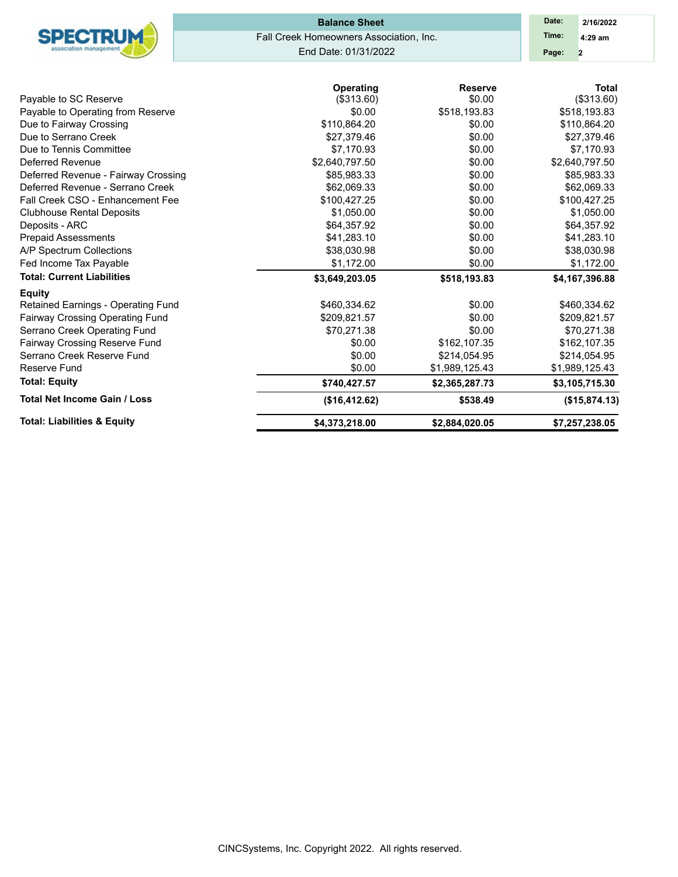| <b>Total: Liabilities &amp; Equity</b>                     | \$4,373,218.00                          | \$2,884,020.05         | \$7,257,238.05             |
|------------------------------------------------------------|-----------------------------------------|------------------------|----------------------------|
| <b>Total Net Income Gain / Loss</b>                        | (\$16,412.62)                           | \$538.49               | (\$15,874.13)              |
| <b>Total: Equity</b>                                       | \$740,427.57                            | \$2,365,287.73         | \$3,105,715.30             |
| Reserve Fund                                               | \$0.00                                  | \$1,989,125.43         | \$1,989,125.43             |
| Serrano Creek Reserve Fund                                 | \$0.00                                  | \$214,054.95           | \$214,054.95               |
| Fairway Crossing Reserve Fund                              | \$0.00                                  | \$162,107.35           | \$162,107.35               |
| Serrano Creek Operating Fund                               | \$70,271.38                             | \$0.00                 | \$70,271.38                |
| Fairway Crossing Operating Fund                            | \$209,821.57                            | \$0.00                 | \$209,821.57               |
| Retained Earnings - Operating Fund                         | \$460,334.62                            | \$0.00                 | \$460,334.62               |
| <b>Equity</b>                                              |                                         |                        |                            |
| <b>Total: Current Liabilities</b>                          | \$3,649,203.05                          | \$518,193.83           | \$4,167,396.88             |
| Fed Income Tax Payable                                     | \$1,172.00                              | \$0.00                 | \$1,172.00                 |
| A/P Spectrum Collections                                   | \$38,030.98                             | \$0.00                 | \$38,030.98                |
| <b>Prepaid Assessments</b>                                 | \$41,283.10                             | \$0.00                 | \$41,283.10                |
| Deposits - ARC                                             | \$64,357.92                             | \$0.00                 | \$64,357.92                |
| <b>Clubhouse Rental Deposits</b>                           | \$1,050.00                              | \$0.00                 | \$1,050.00                 |
| Fall Creek CSO - Enhancement Fee                           | \$100,427.25                            | \$0.00                 | \$100,427.25               |
| Deferred Revenue - Serrano Creek                           | \$62.069.33                             | \$0.00                 | \$62,069.33                |
| Deferred Revenue - Fairway Crossing                        | \$85,983.33                             | \$0.00                 | \$85,983.33                |
| Deferred Revenue                                           | \$2,640,797.50                          | \$0.00                 | \$2,640,797.50             |
| Due to Tennis Committee                                    | \$7,170.93                              | \$0.00                 | \$7,170.93                 |
| Due to Serrano Creek                                       | \$27,379.46                             | \$0.00                 | \$27,379.46                |
| Due to Fairway Crossing                                    | \$110,864.20                            | \$0.00                 | \$110,864.20               |
| Pavable to SC Reserve<br>Payable to Operating from Reserve | (\$313.60)<br>\$0.00                    | \$0.00<br>\$518,193.83 | (\$313.60)<br>\$518,193.83 |
|                                                            | Operating                               | <b>Reserve</b>         | <b>Total</b>               |
|                                                            | End Date: 01/31/2022                    |                        | Page:<br>$\overline{2}$    |
|                                                            |                                         |                        |                            |
| <b>SPECTRUM</b>                                            | Fall Creek Homeowners Association, Inc. |                        | Time:<br>$4:29$ am         |
|                                                            | <b>Balance Sheet</b>                    |                        | Date:<br>2/16/2022         |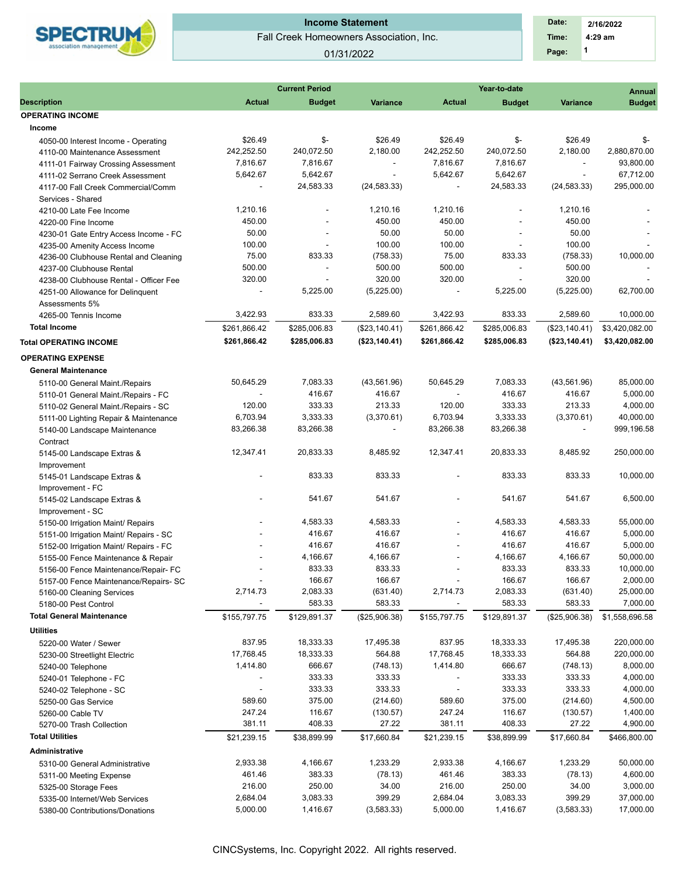

### Fall Creek Homeowners Association, Inc. **Income Statement**

### 01/31/2022

 **1 Time: 4:29 am 2/16/2022 Date: Page:**

|                                        |                          | <b>Current Period</b>    |                          |                          | Year-to-date             |                             | <b>Annual</b>  |  |  |
|----------------------------------------|--------------------------|--------------------------|--------------------------|--------------------------|--------------------------|-----------------------------|----------------|--|--|
| <b>Description</b>                     | <b>Actual</b>            | <b>Budget</b>            | <b>Variance</b>          | <b>Actual</b>            | <b>Budget</b>            | <b>Variance</b>             | <b>Budget</b>  |  |  |
| <b>OPERATING INCOME</b>                |                          |                          |                          |                          |                          |                             |                |  |  |
| Income                                 |                          |                          |                          |                          |                          |                             |                |  |  |
| 4050-00 Interest Income - Operating    | \$26.49                  | \$-                      | \$26.49                  | \$26.49                  | \$-                      | \$26.49                     | \$-            |  |  |
| 4110-00 Maintenance Assessment         | 242,252.50               | 240,072.50               | 2,180.00                 | 242,252.50               | 240,072.50               | 2,180.00                    | 2,880,870.00   |  |  |
| 4111-01 Fairway Crossing Assessment    | 7,816.67                 | 7,816.67                 | $\overline{\phantom{a}}$ | 7,816.67                 | 7,816.67                 | $\mathcal{L}_{\mathcal{A}}$ | 93,800.00      |  |  |
| 4111-02 Serrano Creek Assessment       | 5,642.67                 | 5,642.67                 | $\blacksquare$           | 5,642.67                 | 5,642.67                 | $\overline{\phantom{a}}$    | 67,712.00      |  |  |
| 4117-00 Fall Creek Commercial/Comm     | $\overline{\phantom{a}}$ | 24,583.33                | (24, 583.33)             | $\overline{\phantom{a}}$ | 24,583.33                | (24, 583.33)                | 295,000.00     |  |  |
| Services - Shared                      |                          |                          |                          |                          |                          |                             |                |  |  |
| 4210-00 Late Fee Income                | 1,210.16                 |                          | 1.210.16                 | 1,210.16                 | $\overline{\phantom{a}}$ | 1,210.16                    |                |  |  |
| 4220-00 Fine Income                    | 450.00                   | $\overline{a}$           | 450.00                   | 450.00                   | $\overline{\phantom{a}}$ | 450.00                      |                |  |  |
| 4230-01 Gate Entry Access Income - FC  | 50.00                    |                          | 50.00                    | 50.00                    |                          | 50.00                       |                |  |  |
| 4235-00 Amenity Access Income          | 100.00                   | $\sim$                   | 100.00                   | 100.00                   | $\sim$                   | 100.00                      |                |  |  |
| 4236-00 Clubhouse Rental and Cleaning  | 75.00                    | 833.33                   | (758.33)                 | 75.00                    | 833.33                   | (758.33)                    | 10,000.00      |  |  |
| 4237-00 Clubhouse Rental               | 500.00                   | $\overline{\phantom{a}}$ | 500.00                   | 500.00                   | $\overline{\phantom{a}}$ | 500.00                      |                |  |  |
| 4238-00 Clubhouse Rental - Officer Fee | 320.00                   |                          | 320.00                   | 320.00                   |                          | 320.00                      |                |  |  |
| 4251-00 Allowance for Delinquent       | $\overline{\phantom{a}}$ | 5,225.00                 | (5,225.00)               | $\overline{\phantom{a}}$ | 5,225.00                 | (5,225.00)                  | 62,700.00      |  |  |
| Assessments 5%                         |                          |                          |                          |                          |                          |                             |                |  |  |
| 4265-00 Tennis Income                  | 3.422.93                 | 833.33                   | 2,589.60                 | 3,422.93                 | 833.33                   | 2,589.60                    | 10,000.00      |  |  |
| <b>Total Income</b>                    | \$261,866.42             | \$285,006.83             | (\$23,140.41)            | \$261,866.42             | \$285,006.83             | (\$23,140.41)               | \$3,420,082.00 |  |  |
|                                        | \$261,866.42             | \$285,006.83             |                          | \$261,866.42             | \$285,006.83             | (\$23,140.41)               | \$3,420,082.00 |  |  |
| <b>Total OPERATING INCOME</b>          |                          |                          | (\$23,140.41)            |                          |                          |                             |                |  |  |
| <b>OPERATING EXPENSE</b>               |                          |                          |                          |                          |                          |                             |                |  |  |
| <b>General Maintenance</b>             |                          |                          |                          |                          |                          |                             |                |  |  |
| 5110-00 General Maint./Repairs         | 50,645.29                | 7,083.33                 | (43,561.96)              | 50,645.29                | 7,083.33                 | (43, 561.96)                | 85,000.00      |  |  |
| 5110-01 General Maint./Repairs - FC    |                          | 416.67                   | 416.67                   | $\overline{\phantom{a}}$ | 416.67                   | 416.67                      | 5,000.00       |  |  |
| 5110-02 General Maint./Repairs - SC    | 120.00                   | 333.33                   | 213.33                   | 120.00                   | 333.33                   | 213.33                      | 4,000.00       |  |  |
| 5111-00 Lighting Repair & Maintenance  | 6,703.94                 | 3,333.33                 | (3,370.61)               | 6,703.94                 | 3,333.33                 | (3,370.61)                  | 40,000.00      |  |  |
| 5140-00 Landscape Maintenance          | 83,266.38                | 83,266.38                | $\overline{\phantom{a}}$ | 83,266.38                | 83,266.38                |                             | 999,196.58     |  |  |
| Contract                               |                          |                          |                          |                          |                          |                             |                |  |  |
| 5145-00 Landscape Extras &             | 12,347.41                | 20,833.33                | 8,485.92                 | 12,347.41                | 20,833.33                | 8,485.92                    | 250,000.00     |  |  |
| Improvement                            |                          |                          |                          |                          |                          |                             |                |  |  |
| 5145-01 Landscape Extras &             |                          | 833.33                   | 833.33                   |                          | 833.33                   | 833.33                      | 10,000.00      |  |  |
| Improvement - FC                       |                          |                          |                          |                          |                          |                             |                |  |  |
| 5145-02 Landscape Extras &             |                          | 541.67                   | 541.67                   |                          | 541.67                   | 541.67                      | 6,500.00       |  |  |
| Improvement - SC                       |                          |                          |                          |                          |                          |                             |                |  |  |
| 5150-00 Irrigation Maint/ Repairs      | $\blacksquare$           | 4,583.33                 | 4,583.33                 |                          | 4,583.33                 | 4,583.33                    | 55,000.00      |  |  |
| 5151-00 Irrigation Maint/ Repairs - SC |                          | 416.67                   | 416.67                   | ٠                        | 416.67                   | 416.67                      | 5,000.00       |  |  |
| 5152-00 Irrigation Maint/ Repairs - FC |                          | 416.67                   | 416.67                   | $\blacksquare$           | 416.67                   | 416.67                      | 5,000.00       |  |  |
| 5155-00 Fence Maintenance & Repair     |                          | 4,166.67                 | 4,166.67                 |                          | 4,166.67                 | 4,166.67                    | 50,000.00      |  |  |
| 5156-00 Fence Maintenance/Repair- FC   | $\blacksquare$           | 833.33                   | 833.33                   | ٠                        | 833.33                   | 833.33                      | 10,000.00      |  |  |
| 5157-00 Fence Maintenance/Repairs- SC  |                          | 166.67                   | 166.67                   | $\overline{\phantom{a}}$ | 166.67                   | 166.67                      | 2,000.00       |  |  |
| 5160-00 Cleaning Services              | 2,714.73                 | 2,083.33                 | (631.40)                 | 2,714.73                 | 2,083.33                 | (631.40)                    | 25,000.00      |  |  |
| 5180-00 Pest Control                   |                          | 583.33                   | 583.33                   |                          | 583.33                   | 583.33                      | 7,000.00       |  |  |
| <b>Total General Maintenance</b>       | \$155,797.75             | \$129,891.37             | (\$25,906.38)            | \$155,797.75             | \$129,891.37             | (\$25,906.38)               | \$1,558,696.58 |  |  |
| <b>Utilities</b>                       |                          |                          |                          |                          |                          |                             |                |  |  |
|                                        | 837.95                   | 18,333.33                |                          | 837.95                   | 18,333.33                |                             | 220,000.00     |  |  |
| 5220-00 Water / Sewer                  |                          | 18,333.33                | 17,495.38                |                          |                          | 17,495.38                   |                |  |  |
| 5230-00 Streetlight Electric           | 17,768.45                |                          | 564.88                   | 17,768.45                | 18,333.33                | 564.88                      | 220,000.00     |  |  |
| 5240-00 Telephone                      | 1,414.80                 | 666.67                   | (748.13)                 | 1,414.80                 | 666.67                   | (748.13)                    | 8,000.00       |  |  |
| 5240-01 Telephone - FC                 |                          | 333.33                   | 333.33                   |                          | 333.33                   | 333.33                      | 4,000.00       |  |  |
| 5240-02 Telephone - SC                 |                          | 333.33                   | 333.33                   |                          | 333.33                   | 333.33                      | 4,000.00       |  |  |
| 5250-00 Gas Service                    | 589.60                   | 375.00                   | (214.60)                 | 589.60                   | 375.00                   | (214.60)                    | 4,500.00       |  |  |
| 5260-00 Cable TV                       | 247.24                   | 116.67                   | (130.57)                 | 247.24                   | 116.67                   | (130.57)                    | 1,400.00       |  |  |
| 5270-00 Trash Collection               | 381.11                   | 408.33                   | 27.22                    | 381.11                   | 408.33                   | 27.22                       | 4,900.00       |  |  |
| <b>Total Utilities</b>                 | \$21,239.15              | \$38,899.99              | \$17,660.84              | \$21,239.15              | \$38,899.99              | \$17,660.84                 | \$466,800.00   |  |  |
| Administrative                         |                          |                          |                          |                          |                          |                             |                |  |  |
| 5310-00 General Administrative         | 2,933.38                 | 4,166.67                 | 1,233.29                 | 2,933.38                 | 4,166.67                 | 1,233.29                    | 50,000.00      |  |  |
| 5311-00 Meeting Expense                | 461.46                   | 383.33                   | (78.13)                  | 461.46                   | 383.33                   | (78.13)                     | 4,600.00       |  |  |
| 5325-00 Storage Fees                   | 216.00                   | 250.00                   | 34.00                    | 216.00                   | 250.00                   | 34.00                       | 3,000.00       |  |  |
| 5335-00 Internet/Web Services          | 2,684.04                 | 3,083.33                 | 399.29                   | 2,684.04                 | 3,083.33                 | 399.29                      | 37,000.00      |  |  |
|                                        |                          |                          |                          |                          |                          |                             |                |  |  |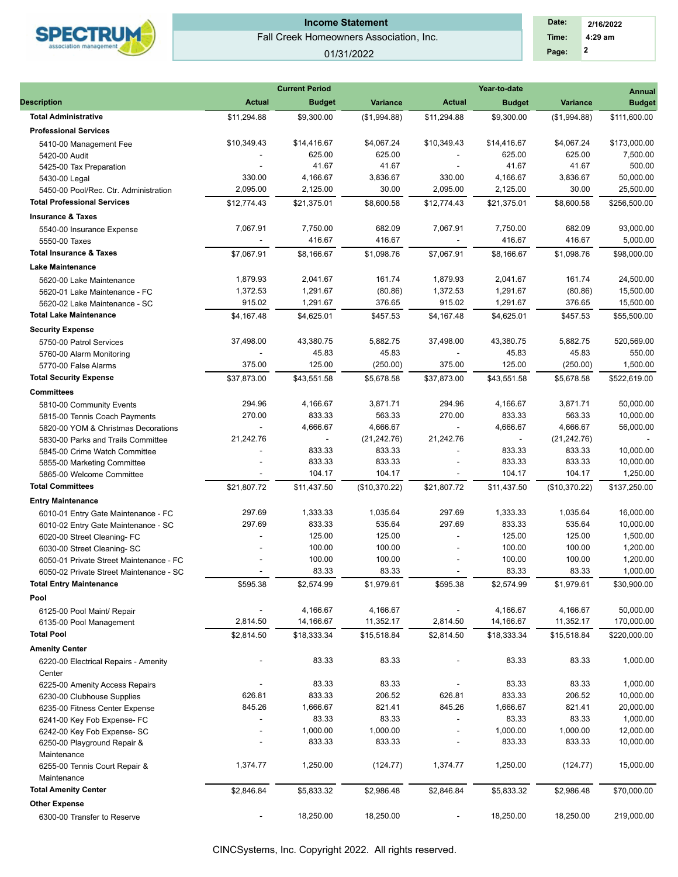

# **Income Statement**

Fall Creek Homeowners Association, Inc.

### 01/31/2022

 **2 Time: 4:29 am 2/16/2022 Date: Page:**

|                                                          | <b>Current Period</b><br>Year-to-date |                          |               |               |                |                 |               |  |  |
|----------------------------------------------------------|---------------------------------------|--------------------------|---------------|---------------|----------------|-----------------|---------------|--|--|
| <b>Description</b>                                       | <b>Actual</b>                         | <b>Budget</b>            | Variance      | <b>Actual</b> | <b>Budget</b>  | <b>Variance</b> | <b>Budget</b> |  |  |
| <b>Total Administrative</b>                              | \$11,294.88                           | \$9,300.00               | (\$1,994.88)  | \$11,294.88   | \$9,300.00     | (\$1,994.88)    | \$111,600.00  |  |  |
| <b>Professional Services</b>                             |                                       |                          |               |               |                |                 |               |  |  |
| 5410-00 Management Fee                                   | \$10,349.43                           | \$14,416.67              | \$4,067.24    | \$10,349.43   | \$14,416.67    | \$4,067.24      | \$173,000.00  |  |  |
| 5420-00 Audit                                            |                                       | 625.00                   | 625.00        |               | 625.00         | 625.00          | 7,500.00      |  |  |
| 5425-00 Tax Preparation                                  |                                       | 41.67                    | 41.67         |               | 41.67          | 41.67           | 500.00        |  |  |
| 5430-00 Legal                                            | 330.00                                | 4,166.67                 | 3,836.67      | 330.00        | 4,166.67       | 3,836.67        | 50,000.00     |  |  |
| 5450-00 Pool/Rec. Ctr. Administration                    | 2,095.00                              | 2,125.00                 | 30.00         | 2,095.00      | 2,125.00       | 30.00           | 25,500.00     |  |  |
| <b>Total Professional Services</b>                       | \$12,774.43                           | \$21,375.01              | \$8,600.58    | \$12,774.43   | \$21,375.01    | \$8,600.58      | \$256,500.00  |  |  |
| <b>Insurance &amp; Taxes</b>                             |                                       |                          |               |               |                |                 |               |  |  |
|                                                          | 7,067.91                              | 7,750.00                 | 682.09        | 7,067.91      | 7,750.00       | 682.09          | 93,000.00     |  |  |
| 5540-00 Insurance Expense                                |                                       | 416.67                   | 416.67        |               | 416.67         | 416.67          | 5,000.00      |  |  |
| 5550-00 Taxes                                            |                                       |                          |               |               |                |                 |               |  |  |
| <b>Total Insurance &amp; Taxes</b>                       | \$7,067.91                            | \$8,166.67               | \$1,098.76    | \$7,067.91    | \$8,166.67     | \$1,098.76      | \$98,000.00   |  |  |
| <b>Lake Maintenance</b>                                  |                                       |                          |               |               |                |                 |               |  |  |
| 5620-00 Lake Maintenance                                 | 1,879.93                              | 2,041.67                 | 161.74        | 1,879.93      | 2,041.67       | 161.74          | 24,500.00     |  |  |
| 5620-01 Lake Maintenance - FC                            | 1,372.53                              | 1,291.67                 | (80.86)       | 1,372.53      | 1,291.67       | (80.86)         | 15,500.00     |  |  |
| 5620-02 Lake Maintenance - SC                            | 915.02                                | 1,291.67                 | 376.65        | 915.02        | 1,291.67       | 376.65          | 15,500.00     |  |  |
| <b>Total Lake Maintenance</b>                            | \$4,167.48                            | \$4,625.01               | \$457.53      | \$4,167.48    | \$4,625.01     | \$457.53        | \$55,500.00   |  |  |
| <b>Security Expense</b>                                  |                                       |                          |               |               |                |                 |               |  |  |
| 5750-00 Patrol Services                                  | 37,498.00                             | 43,380.75                | 5,882.75      | 37,498.00     | 43,380.75      | 5,882.75        | 520,569.00    |  |  |
| 5760-00 Alarm Monitoring                                 |                                       | 45.83                    | 45.83         |               | 45.83          | 45.83           | 550.00        |  |  |
| 5770-00 False Alarms                                     | 375.00                                | 125.00                   | (250.00)      | 375.00        | 125.00         | (250.00)        | 1,500.00      |  |  |
| <b>Total Security Expense</b>                            | \$37,873.00                           | \$43,551.58              | \$5.678.58    | \$37,873.00   | \$43,551.58    | \$5,678.58      | \$522,619.00  |  |  |
| <b>Committees</b>                                        |                                       |                          |               |               |                |                 |               |  |  |
| 5810-00 Community Events                                 | 294.96                                | 4,166.67                 | 3,871.71      | 294.96        | 4,166.67       | 3,871.71        | 50,000.00     |  |  |
| 5815-00 Tennis Coach Payments                            | 270.00                                | 833.33                   | 563.33        | 270.00        | 833.33         | 563.33          | 10,000.00     |  |  |
| 5820-00 YOM & Christmas Decorations                      |                                       | 4,666.67                 | 4,666.67      |               | 4,666.67       | 4,666.67        | 56,000.00     |  |  |
| 5830-00 Parks and Trails Committee                       | 21,242.76                             | $\overline{\phantom{a}}$ | (21, 242.76)  | 21,242.76     | $\blacksquare$ | (21, 242.76)    |               |  |  |
| 5845-00 Crime Watch Committee                            |                                       | 833.33                   | 833.33        |               | 833.33         | 833.33          | 10,000.00     |  |  |
|                                                          |                                       | 833.33                   | 833.33        |               | 833.33         | 833.33          | 10,000.00     |  |  |
| 5855-00 Marketing Committee<br>5865-00 Welcome Committee |                                       | 104.17                   | 104.17        |               | 104.17         | 104.17          | 1,250.00      |  |  |
| <b>Total Committees</b>                                  |                                       |                          |               |               |                |                 |               |  |  |
|                                                          | \$21,807.72                           | \$11,437.50              | (\$10,370.22) | \$21,807.72   | \$11,437.50    | (\$10,370.22)   | \$137,250.00  |  |  |
| <b>Entry Maintenance</b>                                 |                                       |                          |               |               |                |                 |               |  |  |
| 6010-01 Entry Gate Maintenance - FC                      | 297.69                                | 1,333.33                 | 1,035.64      | 297.69        | 1,333.33       | 1,035.64        | 16,000.00     |  |  |
| 6010-02 Entry Gate Maintenance - SC                      | 297.69                                | 833.33                   | 535.64        | 297.69        | 833.33         | 535.64          | 10,000.00     |  |  |
| 6020-00 Street Cleaning- FC                              |                                       | 125.00                   | 125.00        |               | 125.00         | 125.00          | 1,500.00      |  |  |
| 6030-00 Street Cleaning- SC                              |                                       | 100.00                   | 100.00        |               | 100.00         | 100.00          | 1,200.00      |  |  |
| 6050-01 Private Street Maintenance - FC                  |                                       | 100.00                   | 100.00        |               | 100.00         | 100.00          | 1,200.00      |  |  |
| 6050-02 Private Street Maintenance - SC                  |                                       | 83.33                    | 83.33         |               | 83.33          | 83.33           | 1,000.00      |  |  |
| <b>Total Entry Maintenance</b>                           | \$595.38                              | \$2,574.99               | \$1,979.61    | \$595.38      | \$2,574.99     | \$1,979.61      | \$30,900.00   |  |  |
| Pool                                                     |                                       |                          |               |               |                |                 |               |  |  |
| 6125-00 Pool Maint/ Repair                               |                                       | 4,166.67                 | 4,166.67      |               | 4,166.67       | 4,166.67        | 50,000.00     |  |  |
| 6135-00 Pool Management                                  | 2,814.50                              | 14,166.67                | 11,352.17     | 2,814.50      | 14,166.67      | 11,352.17       | 170,000.00    |  |  |
| <b>Total Pool</b>                                        | \$2,814.50                            | \$18,333.34              | \$15,518.84   | \$2,814.50    | \$18,333.34    | \$15,518.84     | \$220,000.00  |  |  |
| <b>Amenity Center</b>                                    |                                       |                          |               |               |                |                 |               |  |  |
| 6220-00 Electrical Repairs - Amenity                     |                                       | 83.33                    | 83.33         |               | 83.33          | 83.33           | 1,000.00      |  |  |
| Center                                                   |                                       |                          |               |               |                |                 |               |  |  |
| 6225-00 Amenity Access Repairs                           | $\overline{\phantom{a}}$              | 83.33                    | 83.33         |               | 83.33          | 83.33           | 1,000.00      |  |  |
| 6230-00 Clubhouse Supplies                               | 626.81                                | 833.33                   | 206.52        | 626.81        | 833.33         | 206.52          | 10,000.00     |  |  |
| 6235-00 Fitness Center Expense                           | 845.26                                | 1,666.67                 | 821.41        | 845.26        | 1,666.67       | 821.41          | 20,000.00     |  |  |
| 6241-00 Key Fob Expense- FC                              | $\blacksquare$                        | 83.33                    | 83.33         |               | 83.33          | 83.33           | 1,000.00      |  |  |
| 6242-00 Key Fob Expense- SC                              |                                       | 1,000.00                 | 1,000.00      |               | 1,000.00       | 1,000.00        | 12,000.00     |  |  |
| 6250-00 Playground Repair &                              |                                       | 833.33                   | 833.33        |               | 833.33         | 833.33          | 10,000.00     |  |  |
| Maintenance                                              |                                       |                          |               |               |                |                 |               |  |  |
| 6255-00 Tennis Court Repair &                            | 1,374.77                              | 1,250.00                 | (124.77)      | 1,374.77      | 1,250.00       | (124.77)        | 15,000.00     |  |  |
| Maintenance                                              |                                       |                          |               |               |                |                 |               |  |  |
| <b>Total Amenity Center</b>                              | \$2,846.84                            | \$5,833.32               | \$2,986.48    | \$2,846.84    | \$5,833.32     | \$2,986.48      | \$70,000.00   |  |  |
| <b>Other Expense</b>                                     |                                       |                          |               |               |                |                 |               |  |  |
|                                                          |                                       |                          |               |               |                |                 |               |  |  |
| 6300-00 Transfer to Reserve                              |                                       | 18,250.00                | 18,250.00     |               | 18,250.00      | 18,250.00       | 219,000.00    |  |  |
|                                                          |                                       |                          |               |               |                |                 |               |  |  |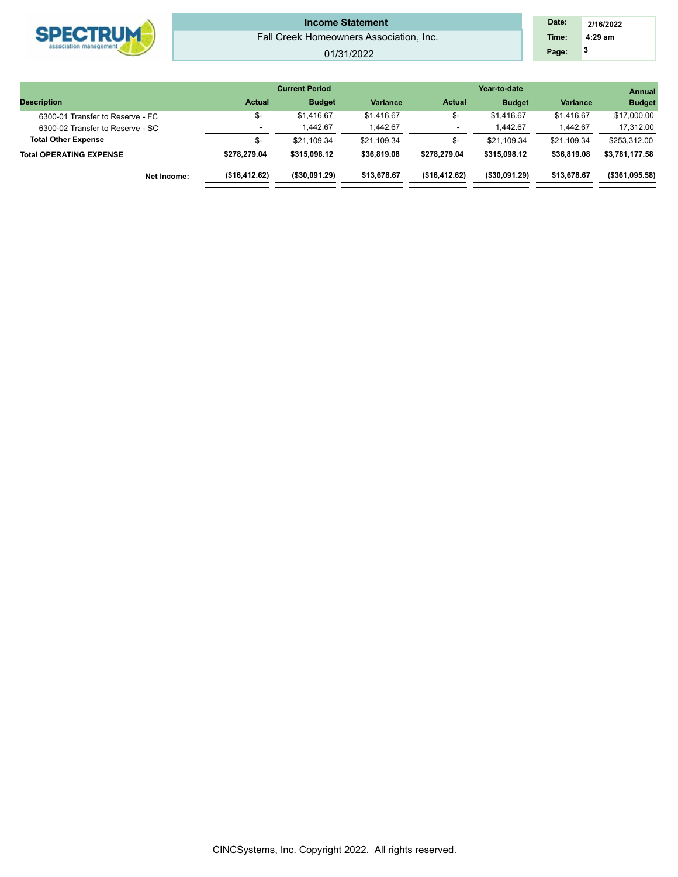|                        |                                         | <b>Current Period</b> |       | Year-to-date |  | <b>Annual</b> |
|------------------------|-----------------------------------------|-----------------------|-------|--------------|--|---------------|
|                        |                                         |                       |       |              |  |               |
| association management |                                         |                       | Page: |              |  |               |
|                        | Fall Creek Homeowners Association, Inc. |                       | Time: | 4:29 am      |  |               |
|                        |                                         |                       | Date: | 2/16/2022    |  |               |

|                                  |                          |                |                 |               |                |                 | --------       |
|----------------------------------|--------------------------|----------------|-----------------|---------------|----------------|-----------------|----------------|
| <b>Description</b>               | <b>Actual</b>            | <b>Budget</b>  | <b>Variance</b> | <b>Actual</b> | <b>Budget</b>  | <b>Variance</b> | <b>Budget</b>  |
| 6300-01 Transfer to Reserve - FC | \$-                      | \$1.416.67     | \$1,416.67      | \$-           | \$1,416.67     | \$1.416.67      | \$17,000.00    |
| 6300-02 Transfer to Reserve - SC | $\overline{\phantom{a}}$ | 1.442.67       | 1.442.67        |               | <b>.442.67</b> | 1.442.67        | 17,312.00      |
| <b>Total Other Expense</b>       | \$-                      | \$21,109.34    | \$21.109.34     | \$-           | \$21.109.34    | \$21.109.34     | \$253,312.00   |
| Total OPERATING EXPENSE          | \$278.279.04             | \$315,098.12   | \$36,819.08     | \$278,279.04  | \$315.098.12   | \$36,819.08     | \$3.781.177.58 |
| Net Income:                      | (\$16,412.62)            | ( \$30,091.29) | \$13.678.67     | (\$16,412.62) | ( \$30,091.29) | \$13,678.67     | (\$361,095.58) |
|                                  |                          |                |                 |               |                |                 |                |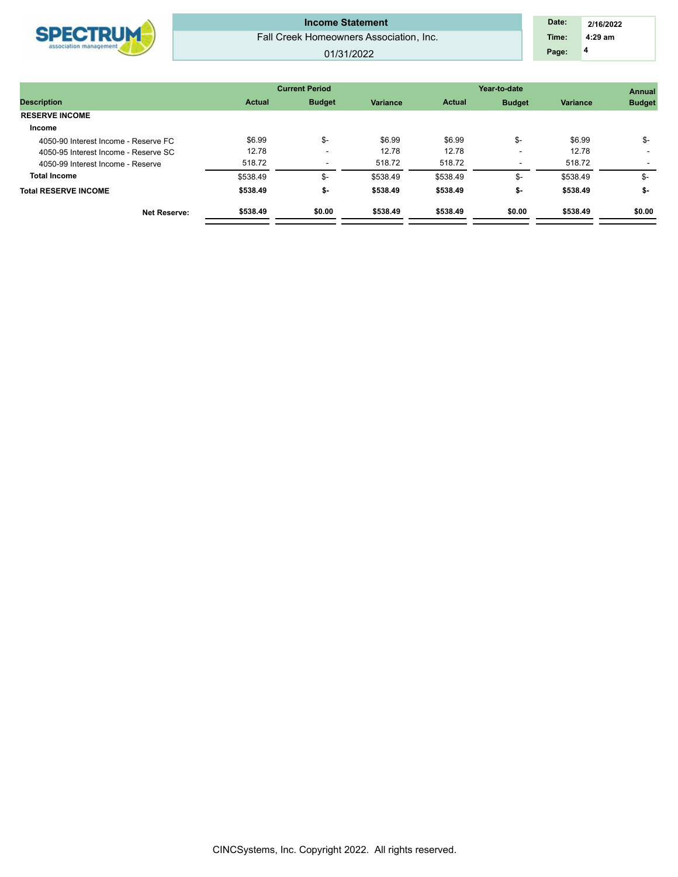

Fall Creek Homeowners Association, Inc. **Income Statement** 

### 01/31/2022

 **4 Time: 4:29 am 2/16/2022 Date: Page:**

|                                      |               | <b>Current Period</b> |                 | Year-to-date  | Annual        |                 |               |  |
|--------------------------------------|---------------|-----------------------|-----------------|---------------|---------------|-----------------|---------------|--|
| <b>Description</b>                   | <b>Actual</b> | <b>Budget</b>         | <b>Variance</b> | <b>Actual</b> | <b>Budget</b> | <b>Variance</b> | <b>Budget</b> |  |
| <b>RESERVE INCOME</b>                |               |                       |                 |               |               |                 |               |  |
| Income                               |               |                       |                 |               |               |                 |               |  |
| 4050-90 Interest Income - Reserve FC | \$6.99        | \$-                   | \$6.99          | \$6.99        | \$-           | \$6.99          | \$-           |  |
| 4050-95 Interest Income - Reserve SC | 12.78         |                       | 12.78           | 12.78         |               | 12.78           |               |  |
| 4050-99 Interest Income - Reserve    | 518.72        |                       | 518.72          | 518.72        |               | 518.72          |               |  |
| <b>Total Income</b>                  | \$538.49      | \$-                   | \$538.49        | \$538.49      | \$-           | \$538.49        | \$-           |  |
| <b>Total RESERVE INCOME</b>          | \$538.49      | \$-                   | \$538.49        | \$538.49      | \$-           | \$538.49        | \$-           |  |
| <b>Net Reserve:</b>                  | \$538.49      | \$0.00                | \$538.49        | \$538.49      | \$0.00        | \$538.49        | \$0.00        |  |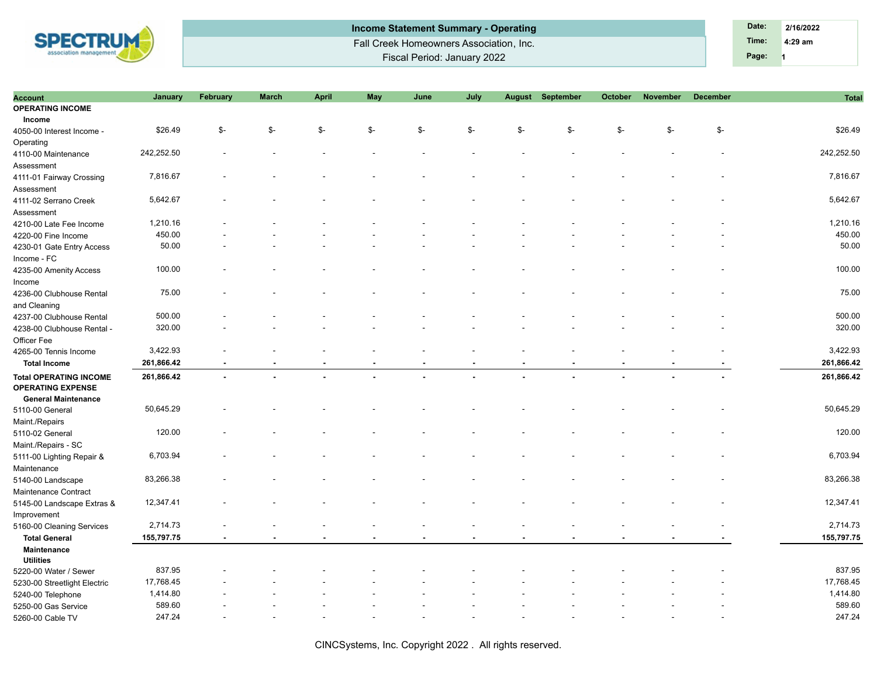

| Income Statement Summary - Operating    | Date: | 2/16/2022 |
|-----------------------------------------|-------|-----------|
| Fall Creek Homeowners Association, Inc. | Time: | $4:29$ am |
| Fiscal Period: January 2022             | Page: |           |

| <b>Account</b>                                            | January    | February      | <b>March</b>   | <b>April</b> | May    | June           | July           | <b>August</b> | September | October | November | <b>December</b> | <b>Total</b> |
|-----------------------------------------------------------|------------|---------------|----------------|--------------|--------|----------------|----------------|---------------|-----------|---------|----------|-----------------|--------------|
| <b>OPERATING INCOME</b>                                   |            |               |                |              |        |                |                |               |           |         |          |                 |              |
| Income                                                    |            |               |                |              |        |                |                |               |           |         |          |                 |              |
| 4050-00 Interest Income -                                 | \$26.49    | $\frac{2}{3}$ | \$-            | \$-          | \$-    | \$-            | \$-            | \$-           | \$-       | \$-     | \$-      | \$-             | \$26.49      |
| Operating                                                 |            |               |                |              |        |                |                |               |           |         |          |                 |              |
| 4110-00 Maintenance                                       | 242,252.50 |               |                |              |        |                |                |               |           |         |          |                 | 242,252.50   |
| Assessment                                                |            |               |                |              |        |                |                |               |           |         |          |                 |              |
| 4111-01 Fairway Crossing                                  | 7,816.67   |               |                |              |        |                |                |               |           |         |          |                 | 7,816.67     |
| Assessment                                                |            |               |                |              |        |                |                |               |           |         |          |                 |              |
| 4111-02 Serrano Creek                                     | 5,642.67   |               |                |              |        |                |                |               |           |         |          |                 | 5,642.67     |
| Assessment                                                |            |               |                |              |        |                |                |               |           |         |          |                 |              |
| 4210-00 Late Fee Income                                   | 1,210.16   |               |                |              |        |                |                |               |           |         |          |                 | 1,210.16     |
| 4220-00 Fine Income                                       | 450.00     |               |                |              |        |                |                |               |           |         |          |                 | 450.00       |
| 4230-01 Gate Entry Access                                 | 50.00      |               |                |              |        |                |                |               |           |         |          |                 | 50.00        |
|                                                           |            |               |                |              |        |                |                |               |           |         |          |                 |              |
| Income - FC                                               | 100.00     |               |                |              |        |                |                |               |           |         |          |                 | 100.00       |
| 4235-00 Amenity Access                                    |            |               |                |              |        |                |                |               |           |         |          |                 |              |
| Income                                                    |            |               |                |              |        |                |                |               |           |         |          |                 |              |
| 4236-00 Clubhouse Rental                                  | 75.00      |               |                |              |        |                |                |               |           |         |          |                 | 75.00        |
| and Cleaning                                              |            |               |                |              |        |                |                |               |           |         |          |                 |              |
| 4237-00 Clubhouse Rental                                  | 500.00     |               |                |              |        |                |                |               |           |         |          |                 | 500.00       |
| 4238-00 Clubhouse Rental -                                | 320.00     |               |                |              |        |                |                |               |           |         |          |                 | 320.00       |
| Officer Fee                                               |            |               |                |              |        |                |                |               |           |         |          |                 |              |
| 4265-00 Tennis Income                                     | 3,422.93   |               |                |              |        |                |                |               |           |         |          |                 | 3,422.93     |
| <b>Total Income</b>                                       | 261,866.42 |               |                |              |        | ٠              |                |               |           |         |          |                 | 261,866.42   |
| <b>Total OPERATING INCOME</b><br><b>OPERATING EXPENSE</b> | 261,866.42 | $\sim$        | $\blacksquare$ |              | $\sim$ | $\overline{a}$ | $\overline{a}$ |               | ÷.        |         | ä,       |                 | 261,866.42   |
| <b>General Maintenance</b>                                |            |               |                |              |        |                |                |               |           |         |          |                 |              |
| 5110-00 General                                           | 50,645.29  |               |                |              |        |                |                |               |           |         |          |                 | 50,645.29    |
| Maint./Repairs                                            |            |               |                |              |        |                |                |               |           |         |          |                 |              |
| 5110-02 General                                           | 120.00     |               |                |              |        |                |                |               |           |         |          |                 | 120.00       |
| Maint./Repairs - SC                                       |            |               |                |              |        |                |                |               |           |         |          |                 |              |
| 5111-00 Lighting Repair &                                 | 6,703.94   |               |                |              |        |                |                |               |           |         |          |                 | 6,703.94     |
| Maintenance                                               |            |               |                |              |        |                |                |               |           |         |          |                 |              |
| 5140-00 Landscape                                         | 83,266.38  |               |                |              |        |                |                |               |           |         |          |                 | 83,266.38    |
| Maintenance Contract                                      |            |               |                |              |        |                |                |               |           |         |          |                 |              |
| 5145-00 Landscape Extras &                                | 12,347.41  |               |                |              |        |                |                |               |           |         |          |                 | 12,347.41    |
| Improvement                                               |            |               |                |              |        |                |                |               |           |         |          |                 |              |
| 5160-00 Cleaning Services                                 | 2,714.73   |               |                |              |        | $\overline{a}$ |                |               |           |         |          |                 | 2,714.73     |
| <b>Total General</b>                                      | 155,797.75 |               |                |              |        |                |                |               |           |         |          |                 | 155,797.75   |
| Maintenance                                               |            |               |                |              |        |                |                |               |           |         |          |                 |              |
| <b>Utilities</b>                                          |            |               |                |              |        |                |                |               |           |         |          |                 |              |
| 5220-00 Water / Sewer                                     | 837.95     |               |                |              |        |                |                |               |           |         |          |                 | 837.95       |
|                                                           | 17,768.45  |               |                |              |        |                |                |               |           |         |          |                 | 17,768.45    |
| 5230-00 Streetlight Electric                              | 1,414.80   |               |                |              |        |                |                |               |           |         |          |                 | 1,414.80     |
| 5240-00 Telephone                                         | 589.60     |               |                |              |        |                |                |               |           |         |          |                 | 589.60       |
| 5250-00 Gas Service                                       |            |               |                |              |        |                |                |               |           |         |          |                 | 247.24       |
| 5260-00 Cable TV                                          | 247.24     |               |                |              |        |                |                |               |           |         |          |                 |              |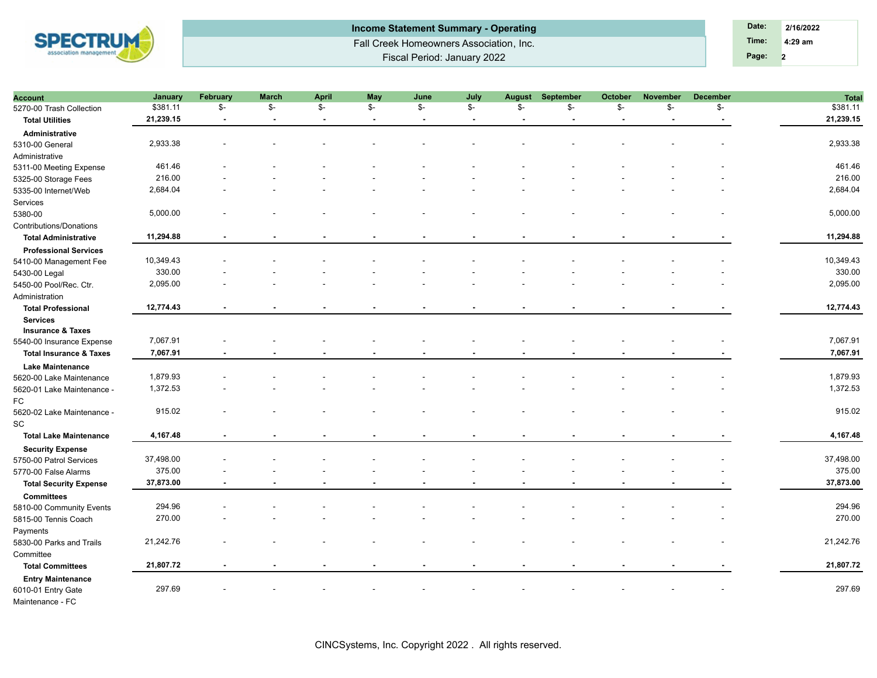

| Income Statement Summary - Operating    | Date: | 2/16/2022 |  |
|-----------------------------------------|-------|-----------|--|
| Fall Creek Homeowners Association, Inc. | Time: | $4:29$ am |  |
| Fiscal Period: January 2022             | Page: |           |  |

| Account                                            | January   | <b>February</b>          | <b>March</b>             | <b>April</b>    | May            | June                     | July           | August | September | October | <b>November</b> | <b>December</b> | <b>Total</b> |
|----------------------------------------------------|-----------|--------------------------|--------------------------|-----------------|----------------|--------------------------|----------------|--------|-----------|---------|-----------------|-----------------|--------------|
| 5270-00 Trash Collection                           | \$381.11  | \$-                      | \$-                      | $\mathcal{S}$ - | \$-            | \$-                      | \$-            | \$-    | \$-       | \$-     | \$-             | \$-             | \$381.11     |
| <b>Total Utilities</b>                             | 21,239.15 |                          |                          |                 |                | $\overline{\phantom{a}}$ |                |        |           |         |                 |                 | 21,239.15    |
| Administrative                                     |           |                          |                          |                 |                |                          |                |        |           |         |                 |                 |              |
| 5310-00 General                                    | 2,933.38  |                          |                          |                 |                |                          |                |        |           |         |                 |                 | 2,933.38     |
| Administrative                                     |           |                          |                          |                 |                |                          |                |        |           |         |                 |                 |              |
| 5311-00 Meeting Expense                            | 461.46    |                          |                          |                 |                |                          |                |        |           |         |                 |                 | 461.46       |
| 5325-00 Storage Fees                               | 216.00    |                          |                          |                 |                |                          |                |        |           |         |                 |                 | 216.00       |
| 5335-00 Internet/Web                               | 2,684.04  |                          |                          |                 |                |                          |                |        |           |         |                 |                 | 2,684.04     |
| Services                                           |           |                          |                          |                 |                |                          |                |        |           |         |                 |                 |              |
| 5380-00                                            | 5,000.00  |                          |                          |                 |                |                          |                |        |           |         |                 |                 | 5,000.00     |
| Contributions/Donations                            |           |                          |                          |                 |                |                          |                |        |           |         |                 |                 |              |
| <b>Total Administrative</b>                        | 11,294.88 |                          |                          |                 |                |                          |                |        |           |         |                 |                 | 11,294.88    |
| <b>Professional Services</b>                       |           |                          |                          |                 |                |                          |                |        |           |         |                 |                 |              |
| 5410-00 Management Fee                             | 10,349.43 |                          |                          |                 |                |                          |                |        |           |         |                 |                 | 10,349.43    |
| 5430-00 Legal                                      | 330.00    |                          |                          |                 |                |                          |                |        |           |         |                 |                 | 330.00       |
| 5450-00 Pool/Rec. Ctr.                             | 2,095.00  |                          |                          |                 |                |                          |                |        |           |         |                 |                 | 2,095.00     |
| Administration                                     |           |                          |                          |                 |                |                          |                |        |           |         |                 |                 |              |
| <b>Total Professional</b>                          | 12,774.43 |                          |                          |                 |                |                          |                |        |           |         |                 |                 | 12,774.43    |
| <b>Services</b>                                    |           |                          |                          |                 |                |                          |                |        |           |         |                 |                 |              |
| <b>Insurance &amp; Taxes</b>                       |           |                          |                          |                 |                |                          |                |        |           |         |                 |                 |              |
| 5540-00 Insurance Expense                          | 7,067.91  |                          |                          |                 |                |                          |                |        |           |         |                 |                 | 7,067.91     |
| <b>Total Insurance &amp; Taxes</b>                 | 7,067.91  | $\overline{\phantom{a}}$ |                          |                 |                |                          |                |        |           |         |                 |                 | 7,067.91     |
| <b>Lake Maintenance</b>                            |           |                          |                          |                 |                |                          |                |        |           |         |                 |                 |              |
| 5620-00 Lake Maintenance                           | 1,879.93  |                          |                          |                 |                |                          |                |        |           |         |                 |                 | 1,879.93     |
| 5620-01 Lake Maintenance -                         | 1,372.53  |                          |                          |                 |                |                          |                |        |           |         |                 |                 | 1,372.53     |
| FC                                                 |           |                          |                          |                 |                |                          |                |        |           |         |                 |                 |              |
| 5620-02 Lake Maintenance -                         | 915.02    |                          |                          |                 |                |                          |                |        |           |         |                 |                 | 915.02       |
| SC                                                 |           |                          |                          |                 |                |                          |                |        |           |         |                 |                 |              |
| <b>Total Lake Maintenance</b>                      | 4,167.48  | $\sim$                   | $\overline{\phantom{a}}$ | $\blacksquare$  | $\blacksquare$ | $\overline{\phantom{a}}$ | $\blacksquare$ |        |           | ٠       |                 |                 | 4,167.48     |
|                                                    |           |                          |                          |                 |                |                          |                |        |           |         |                 |                 |              |
| <b>Security Expense</b><br>5750-00 Patrol Services | 37,498.00 |                          |                          |                 |                |                          |                |        |           |         |                 |                 | 37,498.00    |
| 5770-00 False Alarms                               | 375.00    |                          |                          |                 |                |                          |                |        |           |         |                 |                 | 375.00       |
|                                                    | 37,873.00 |                          |                          |                 |                |                          |                |        |           |         |                 |                 | 37,873.00    |
| <b>Total Security Expense</b>                      |           |                          |                          |                 |                |                          |                |        |           |         |                 |                 |              |
| <b>Committees</b>                                  |           |                          |                          |                 |                |                          |                |        |           |         |                 |                 | 294.96       |
| 5810-00 Community Events                           | 294.96    |                          |                          |                 |                |                          |                |        |           |         |                 |                 |              |
| 5815-00 Tennis Coach                               | 270.00    |                          |                          |                 |                |                          |                |        |           |         |                 |                 | 270.00       |
| Payments                                           |           |                          |                          |                 |                |                          |                |        |           |         |                 |                 |              |
| 5830-00 Parks and Trails                           | 21,242.76 |                          |                          |                 |                |                          |                |        |           |         |                 |                 | 21,242.76    |
| Committee                                          |           |                          |                          |                 |                |                          |                |        |           |         |                 |                 |              |
| <b>Total Committees</b>                            | 21,807.72 | $\overline{\phantom{a}}$ |                          |                 |                |                          |                |        |           |         |                 |                 | 21,807.72    |
| <b>Entry Maintenance</b>                           |           |                          |                          |                 |                |                          |                |        |           |         |                 |                 |              |
| 6010-01 Entry Gate                                 | 297.69    |                          |                          |                 |                |                          |                |        |           |         |                 |                 | 297.69       |
| Maintenance - FC                                   |           |                          |                          |                 |                |                          |                |        |           |         |                 |                 |              |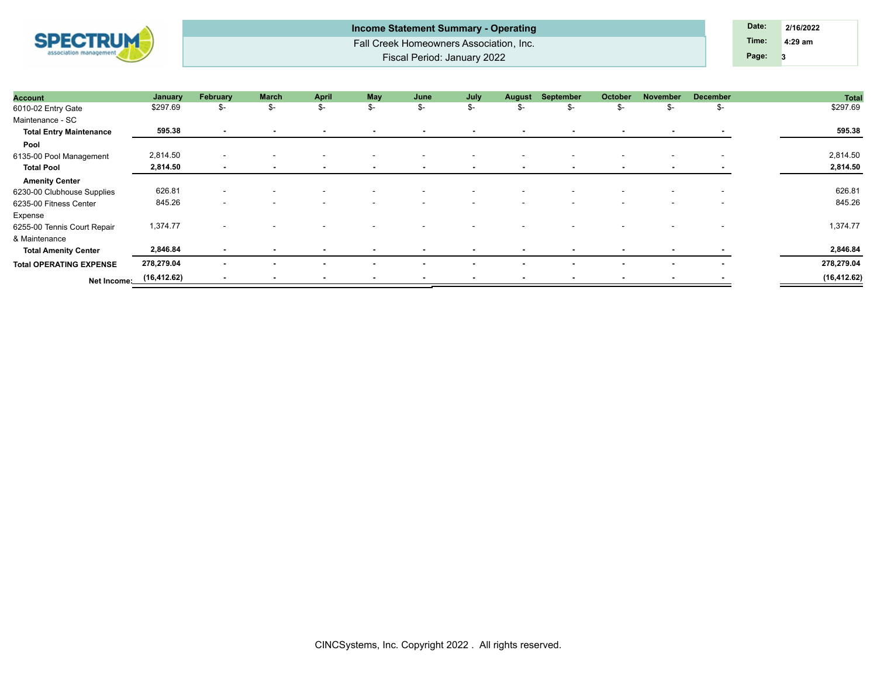| <b>SPECTRUM</b><br>association management | <b>Income Statement Summary - Operating</b> | Date: | 2/16/2022 |  |
|-------------------------------------------|---------------------------------------------|-------|-----------|--|
|                                           | Fall Creek Homeowners Association, Inc.     | Time: | $4:29$ am |  |
|                                           | <b>Fiscal Period: January 2022</b>          | Page: |           |  |

| Account                        | January      | February                 | <b>March</b>             | <b>April</b> | <b>May</b>               | June                     | July                     | <b>August</b>            | September                | October                  | November                 | <b>December</b>          | <b>Total</b> |
|--------------------------------|--------------|--------------------------|--------------------------|--------------|--------------------------|--------------------------|--------------------------|--------------------------|--------------------------|--------------------------|--------------------------|--------------------------|--------------|
| 6010-02 Entry Gate             | \$297.69     | \$-                      | \$-                      | \$-          | \$-                      | \$-                      | \$-                      | \$-                      | \$-                      | \$-                      | S-                       | \$-                      | \$297.69     |
| Maintenance - SC               |              |                          |                          |              |                          |                          |                          |                          |                          |                          |                          |                          |              |
| <b>Total Entry Maintenance</b> | 595.38       | $\sim$                   | $\blacksquare$           |              |                          | $\blacksquare$           | $\sim$                   | $\sim$                   | $\sim$                   | $\sim$                   | $\sim$                   | $\sim$                   | 595.38       |
| Pool                           |              |                          |                          |              |                          |                          |                          |                          |                          |                          |                          |                          |              |
| 6135-00 Pool Management        | 2,814.50     | $\overline{\phantom{a}}$ |                          |              |                          |                          | $\overline{\phantom{a}}$ | $\overline{\phantom{a}}$ |                          |                          |                          |                          | 2,814.50     |
| <b>Total Pool</b>              | 2,814.50     | $\sim$                   | $\overline{\phantom{a}}$ | $\sim$       | $\blacksquare$           | $\sim$                   | $\sim$                   | . .                      | $\sim$                   | . .                      |                          |                          | 2,814.50     |
| <b>Amenity Center</b>          |              |                          |                          |              |                          |                          |                          |                          |                          |                          |                          |                          |              |
| 6230-00 Clubhouse Supplies     | 626.81       | $\overline{\phantom{a}}$ |                          |              | $\overline{\phantom{a}}$ | $\overline{\phantom{0}}$ | $\overline{\phantom{0}}$ | $\overline{\phantom{a}}$ | $\overline{\phantom{0}}$ | $\overline{\phantom{a}}$ | $\overline{\phantom{a}}$ | $\overline{\phantom{0}}$ | 626.81       |
| 6235-00 Fitness Center         | 845.26       | $\overline{\phantom{a}}$ |                          |              |                          |                          | $\sim$                   | $\overline{\phantom{a}}$ |                          |                          |                          |                          | 845.26       |
| Expense                        |              |                          |                          |              |                          |                          |                          |                          |                          |                          |                          |                          |              |
| 6255-00 Tennis Court Repair    | 1,374.77     | $\overline{\phantom{a}}$ |                          |              |                          |                          |                          |                          |                          |                          |                          |                          | 1,374.77     |
| & Maintenance                  |              |                          |                          |              |                          |                          |                          |                          |                          |                          |                          |                          |              |
| <b>Total Amenity Center</b>    | 2,846.84     | $\sim$                   | $\overline{\phantom{a}}$ |              |                          | $\blacksquare$           | $\sim$                   | $\overline{\phantom{a}}$ | $\sim$                   | $\sim$                   | $\blacksquare$           |                          | 2,846.84     |
| <b>Total OPERATING EXPENSE</b> | 278,279.04   | $\blacksquare$           | $\blacksquare$           |              | $\overline{\phantom{a}}$ | $\overline{\phantom{a}}$ | $\overline{\phantom{a}}$ | $\sim$                   | $\sim$                   | $\overline{\phantom{a}}$ | $\sim$                   | $\overline{\phantom{a}}$ | 278,279.04   |
| Net Income:                    | (16, 412.62) | $\overline{\phantom{0}}$ | $\overline{\phantom{a}}$ | $\sim$       | $\overline{\phantom{0}}$ | $\overline{\phantom{a}}$ | $\overline{\phantom{0}}$ | $\sim$                   | $\sim$                   | $\overline{\phantom{a}}$ |                          |                          | (16, 412.62) |